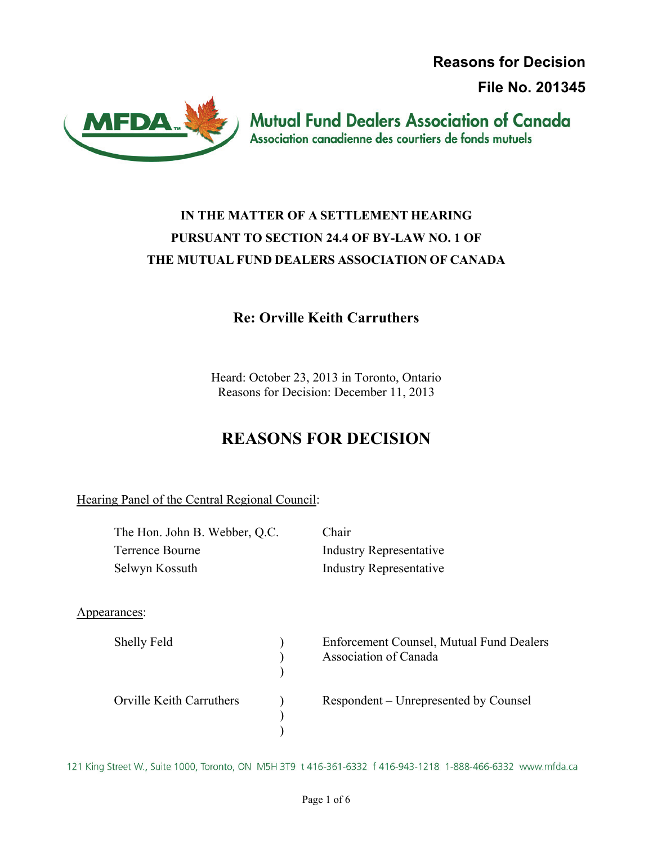**Reasons for Decision**

**File No. 201345**



**Mutual Fund Dealers Association of Canada** Association canadienne des courtiers de fonds mutuels

# **IN THE MATTER OF A SETTLEMENT HEARING PURSUANT TO SECTION 24.4 OF BY-LAW NO. 1 OF THE MUTUAL FUND DEALERS ASSOCIATION OF CANADA**

### **Re: Orville Keith Carruthers**

Heard: October 23, 2013 in Toronto, Ontario Reasons for Decision: December 11, 2013

# **REASONS FOR DECISION**

Hearing Panel of the Central Regional Council:

| The Hon. John B. Webber, Q.C.   |  | Chair                                                                    |
|---------------------------------|--|--------------------------------------------------------------------------|
| Terrence Bourne                 |  | <b>Industry Representative</b>                                           |
| Selwyn Kossuth                  |  | <b>Industry Representative</b>                                           |
|                                 |  |                                                                          |
| Appearances:                    |  |                                                                          |
| Shelly Feld                     |  | <b>Enforcement Counsel, Mutual Fund Dealers</b><br>Association of Canada |
| <b>Orville Keith Carruthers</b> |  | Respondent – Unrepresented by Counsel                                    |

121 King Street W., Suite 1000, Toronto, ON M5H 3T9 t 416-361-6332 f 416-943-1218 1-888-466-6332 www.mfda.ca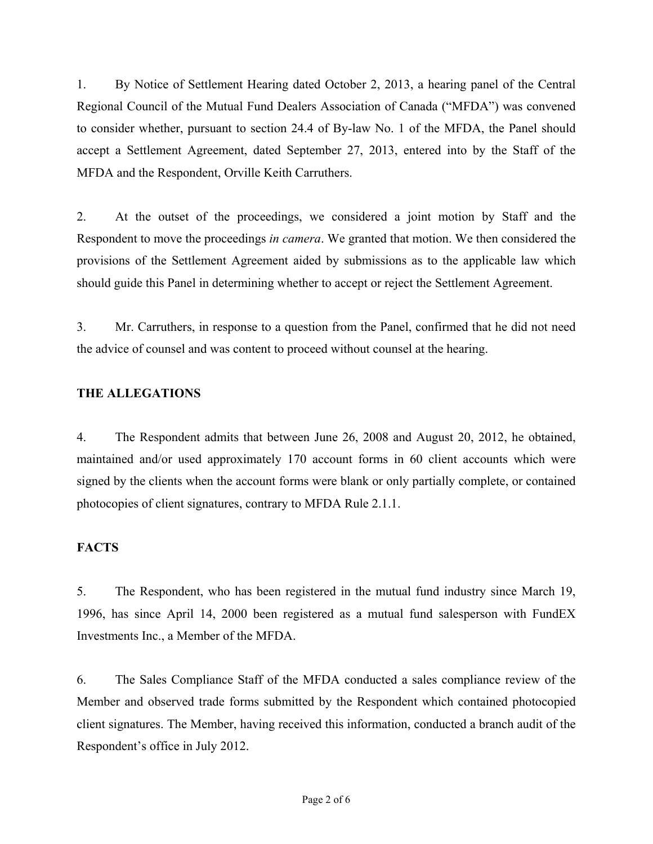1. By Notice of Settlement Hearing dated October 2, 2013, a hearing panel of the Central Regional Council of the Mutual Fund Dealers Association of Canada ("MFDA") was convened to consider whether, pursuant to section 24.4 of By-law No. 1 of the MFDA, the Panel should accept a Settlement Agreement, dated September 27, 2013, entered into by the Staff of the MFDA and the Respondent, Orville Keith Carruthers.

2. At the outset of the proceedings, we considered a joint motion by Staff and the Respondent to move the proceedings *in camera*. We granted that motion. We then considered the provisions of the Settlement Agreement aided by submissions as to the applicable law which should guide this Panel in determining whether to accept or reject the Settlement Agreement.

3. Mr. Carruthers, in response to a question from the Panel, confirmed that he did not need the advice of counsel and was content to proceed without counsel at the hearing.

### **THE ALLEGATIONS**

4. The Respondent admits that between June 26, 2008 and August 20, 2012, he obtained, maintained and/or used approximately 170 account forms in 60 client accounts which were signed by the clients when the account forms were blank or only partially complete, or contained photocopies of client signatures, contrary to MFDA Rule 2.1.1.

#### **FACTS**

5. The Respondent, who has been registered in the mutual fund industry since March 19, 1996, has since April 14, 2000 been registered as a mutual fund salesperson with FundEX Investments Inc., a Member of the MFDA.

6. The Sales Compliance Staff of the MFDA conducted a sales compliance review of the Member and observed trade forms submitted by the Respondent which contained photocopied client signatures. The Member, having received this information, conducted a branch audit of the Respondent's office in July 2012.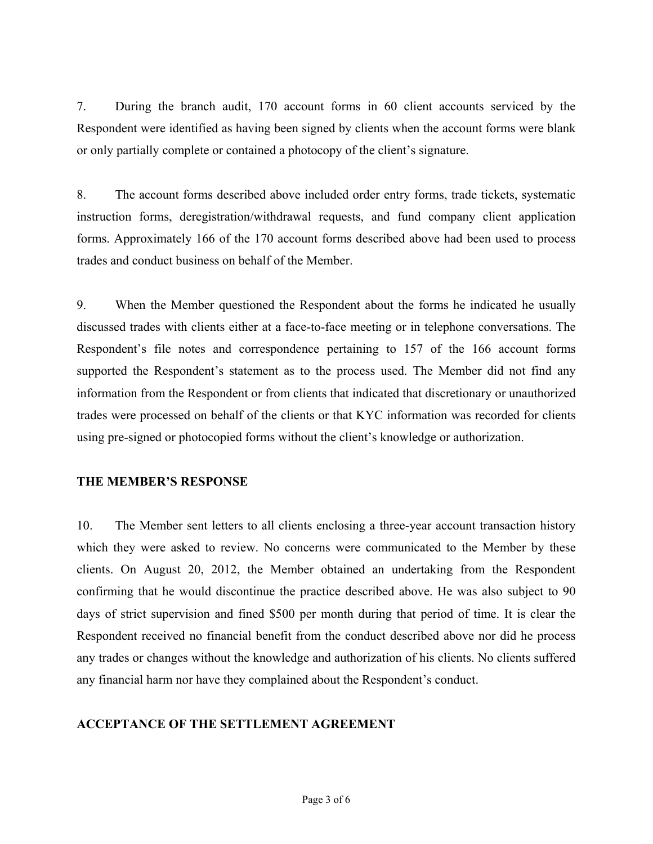7. During the branch audit, 170 account forms in 60 client accounts serviced by the Respondent were identified as having been signed by clients when the account forms were blank or only partially complete or contained a photocopy of the client's signature.

8. The account forms described above included order entry forms, trade tickets, systematic instruction forms, deregistration/withdrawal requests, and fund company client application forms. Approximately 166 of the 170 account forms described above had been used to process trades and conduct business on behalf of the Member.

9. When the Member questioned the Respondent about the forms he indicated he usually discussed trades with clients either at a face-to-face meeting or in telephone conversations. The Respondent's file notes and correspondence pertaining to 157 of the 166 account forms supported the Respondent's statement as to the process used. The Member did not find any information from the Respondent or from clients that indicated that discretionary or unauthorized trades were processed on behalf of the clients or that KYC information was recorded for clients using pre-signed or photocopied forms without the client's knowledge or authorization.

#### **THE MEMBER'S RESPONSE**

10. The Member sent letters to all clients enclosing a three-year account transaction history which they were asked to review. No concerns were communicated to the Member by these clients. On August 20, 2012, the Member obtained an undertaking from the Respondent confirming that he would discontinue the practice described above. He was also subject to 90 days of strict supervision and fined \$500 per month during that period of time. It is clear the Respondent received no financial benefit from the conduct described above nor did he process any trades or changes without the knowledge and authorization of his clients. No clients suffered any financial harm nor have they complained about the Respondent's conduct.

#### **ACCEPTANCE OF THE SETTLEMENT AGREEMENT**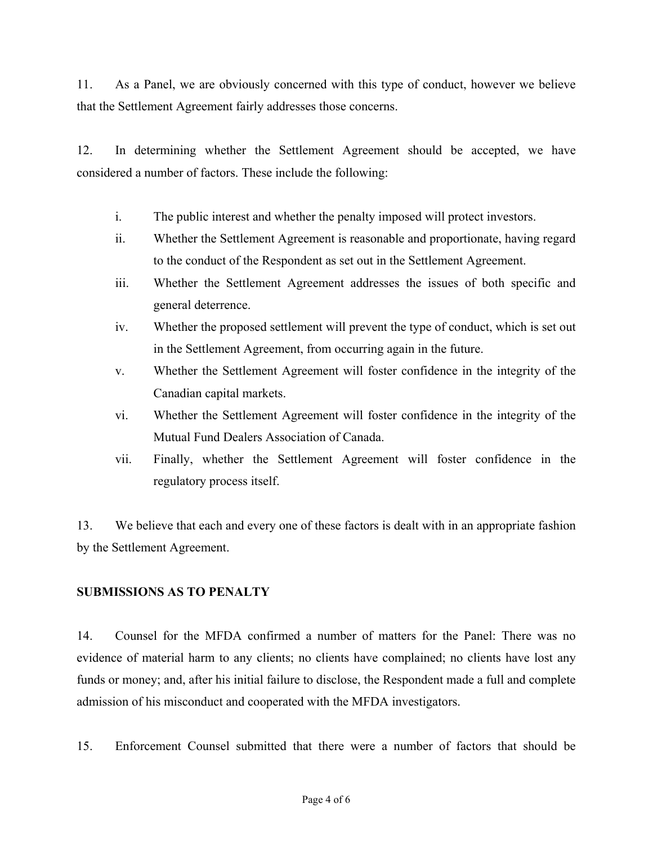11. As a Panel, we are obviously concerned with this type of conduct, however we believe that the Settlement Agreement fairly addresses those concerns.

12. In determining whether the Settlement Agreement should be accepted, we have considered a number of factors. These include the following:

- i. The public interest and whether the penalty imposed will protect investors.
- ii. Whether the Settlement Agreement is reasonable and proportionate, having regard to the conduct of the Respondent as set out in the Settlement Agreement.
- iii. Whether the Settlement Agreement addresses the issues of both specific and general deterrence.
- iv. Whether the proposed settlement will prevent the type of conduct, which is set out in the Settlement Agreement, from occurring again in the future.
- v. Whether the Settlement Agreement will foster confidence in the integrity of the Canadian capital markets.
- vi. Whether the Settlement Agreement will foster confidence in the integrity of the Mutual Fund Dealers Association of Canada.
- vii. Finally, whether the Settlement Agreement will foster confidence in the regulatory process itself.

13. We believe that each and every one of these factors is dealt with in an appropriate fashion by the Settlement Agreement.

#### **SUBMISSIONS AS TO PENALTY**

14. Counsel for the MFDA confirmed a number of matters for the Panel: There was no evidence of material harm to any clients; no clients have complained; no clients have lost any funds or money; and, after his initial failure to disclose, the Respondent made a full and complete admission of his misconduct and cooperated with the MFDA investigators.

15. Enforcement Counsel submitted that there were a number of factors that should be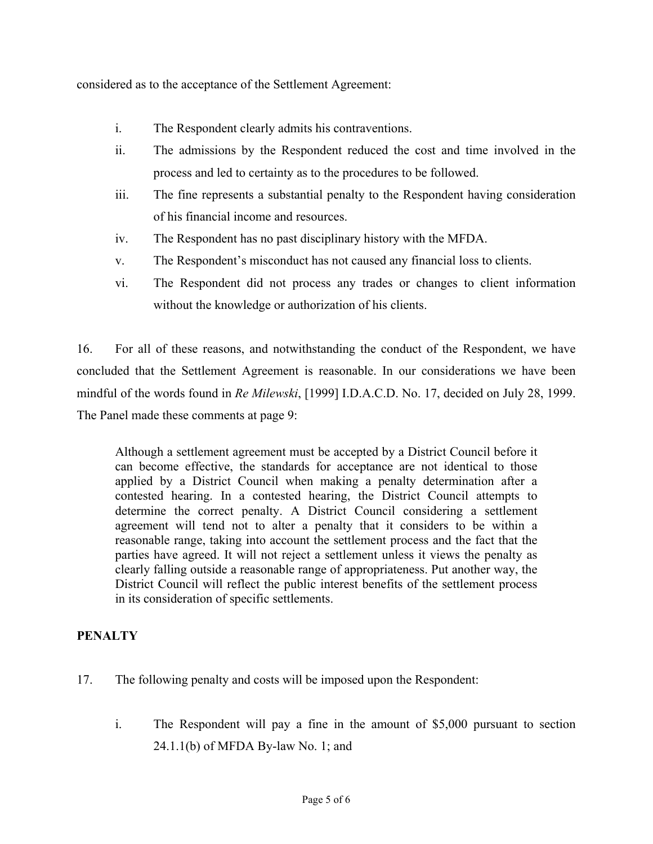considered as to the acceptance of the Settlement Agreement:

- i. The Respondent clearly admits his contraventions.
- ii. The admissions by the Respondent reduced the cost and time involved in the process and led to certainty as to the procedures to be followed.
- iii. The fine represents a substantial penalty to the Respondent having consideration of his financial income and resources.
- iv. The Respondent has no past disciplinary history with the MFDA.
- v. The Respondent's misconduct has not caused any financial loss to clients.
- vi. The Respondent did not process any trades or changes to client information without the knowledge or authorization of his clients.

16. For all of these reasons, and notwithstanding the conduct of the Respondent, we have concluded that the Settlement Agreement is reasonable. In our considerations we have been mindful of the words found in *Re Milewski*, [1999] I.D.A.C.D. No. 17, decided on July 28, 1999. The Panel made these comments at page 9:

Although a settlement agreement must be accepted by a District Council before it can become effective, the standards for acceptance are not identical to those applied by a District Council when making a penalty determination after a contested hearing. In a contested hearing, the District Council attempts to determine the correct penalty. A District Council considering a settlement agreement will tend not to alter a penalty that it considers to be within a reasonable range, taking into account the settlement process and the fact that the parties have agreed. It will not reject a settlement unless it views the penalty as clearly falling outside a reasonable range of appropriateness. Put another way, the District Council will reflect the public interest benefits of the settlement process in its consideration of specific settlements.

#### **PENALTY**

- 17. The following penalty and costs will be imposed upon the Respondent:
	- i. The Respondent will pay a fine in the amount of \$5,000 pursuant to section 24.1.1(b) of MFDA By-law No. 1; and